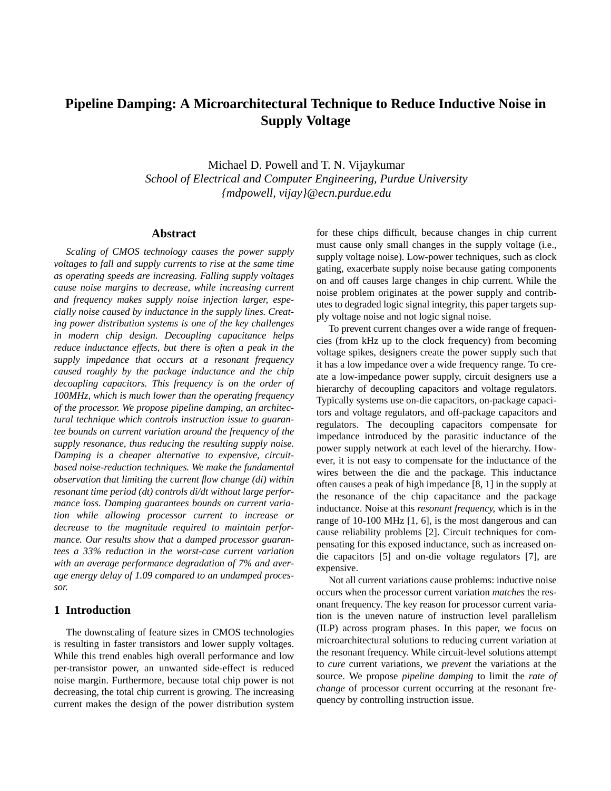# **Pipeline Damping: A Microarchitectural Technique to Reduce Inductive Noise in Supply Voltage**

Michael D. Powell and T. N. Vijaykumar *School of Electrical and Computer Engineering, Purdue University {mdpowell, vijay}@ecn.purdue.edu*

#### **Abstract**

*Scaling of CMOS technology causes the power supply voltages to fall and supply currents to rise at the same time as operating speeds are increasing. Falling supply voltages cause noise margins to decrease, while increasing current and frequency makes supply noise injection larger, especially noise caused by inductance in the supply lines. Creating power distribution systems is one of the key challenges in modern chip design. Decoupling capacitance helps reduce inductance effects, but there is often a peak in the supply impedance that occurs at a resonant frequency caused roughly by the package inductance and the chip decoupling capacitors. This frequency is on the order of 100MHz, which is much lower than the operating frequency of the processor. We propose pipeline damping, an architectural technique which controls instruction issue to guarantee bounds on current variation around the frequency of the supply resonance, thus reducing the resulting supply noise. Damping is a cheaper alternative to expensive, circuitbased noise-reduction techniques. We make the fundamental observation that limiting the current flow change (di) within resonant time period (dt) controls di/dt without large performance loss. Damping guarantees bounds on current variation while allowing processor current to increase or decrease to the magnitude required to maintain performance. Our results show that a damped processor guarantees a 33% reduction in the worst-case current variation with an average performance degradation of 7% and average energy delay of 1.09 compared to an undamped processor.*

## <span id="page-0-0"></span>**1 Introduction**

The downscaling of feature sizes in CMOS technologies is resulting in faster transistors and lower supply voltages. While this trend enables high overall performance and low per-transistor power, an unwanted side-effect is reduced noise margin. Furthermore, because total chip power is not decreasing, the total chip current is growing. The increasing current makes the design of the power distribution system for these chips difficult, because changes in chip current must cause only small changes in the supply voltage (i.e., supply voltage noise). Low-power techniques, such as clock gating, exacerbate supply noise because gating components on and off causes large changes in chip current. While the noise problem originates at the power supply and contributes to degraded logic signal integrity, this paper targets supply voltage noise and not logic signal noise.

To prevent current changes over a wide range of frequencies (from kHz up to the clock frequency) from becoming voltage spikes, designers create the power supply such that it has a low impedance over a wide frequency range. To create a low-impedance power supply, circuit designers use a hierarchy of decoupling capacitors and voltage regulators. Typically systems use on-die capacitors, on-package capacitors and voltage regulators, and off-package capacitors and regulators. The decoupling capacitors compensate for impedance introduced by the parasitic inductance of the power supply network at each level of the hierarchy. However, it is not easy to compensate for the inductance of the wires between the die and the package. This inductance often causes a peak of high impedance [8, 1] in the supply at the resonance of the chip capacitance and the package inductance. Noise at this *resonant frequency*, which is in the range of 10-100 MHz [1, 6], is the most dangerous and can cause reliability problems [2]. Circuit techniques for compensating for this exposed inductance, such as increased ondie capacitors [5] and on-die voltage regulators [7], are expensive.

Not all current variations cause problems: inductive noise occurs when the processor current variation *matches* the resonant frequency. The key reason for processor current variation is the uneven nature of instruction level parallelism (ILP) across program phases. In this paper, we focus on microarchitectural solutions to reducing current variation at the resonant frequency. While circuit-level solutions attempt to *cure* current variations, we *prevent* the variations at the source. We propose *pipeline damping* to limit the *rate of change* of processor current occurring at the resonant frequency by controlling instruction issue.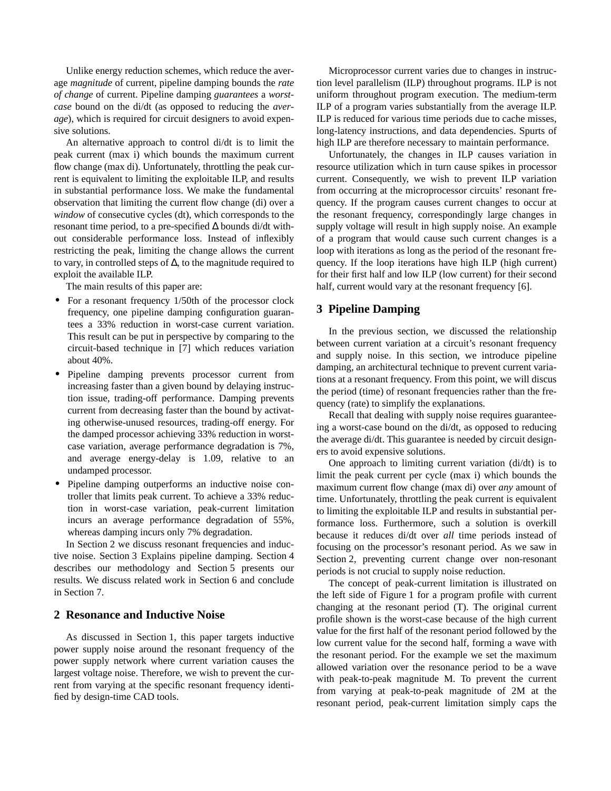Unlike energy reduction schemes, which reduce the average *magnitude* of current, pipeline damping bounds the *rate of change* of current. Pipeline damping *guarantees* a *worstcase* bound on the di/dt (as opposed to reducing the *average*), which is required for circuit designers to avoid expensive solutions.

An alternative approach to control di/dt is to limit the peak current (max i) which bounds the maximum current flow change (max di). Unfortunately, throttling the peak current is equivalent to limiting the exploitable ILP, and results in substantial performance loss. We make the fundamental observation that limiting the current flow change (di) over a *window* of consecutive cycles (dt), which corresponds to the resonant time period, to a pre-specified ∆ bounds di/dt without considerable performance loss. Instead of inflexibly restricting the peak, limiting the change allows the current to vary, in controlled steps of ∆, to the magnitude required to exploit the available ILP.

The main results of this paper are:

- **•** For a resonant frequency 1/50th of the processor clock frequency, one pipeline damping configuration guarantees a 33% reduction in worst-case current variation. This result can be put in perspective by comparing to the circuit-based technique in [7] which reduces variation about 40%.
- **•** Pipeline damping prevents processor current from increasing faster than a given bound by delaying instruction issue, trading-off performance. Damping prevents current from decreasing faster than the bound by activating otherwise-unused resources, trading-off energy. For the damped processor achieving 33% reduction in worstcase variation, average performance degradation is 7%, and average energy-delay is 1.09, relative to an undamped processor.
- **•** Pipeline damping outperforms an inductive noise controller that limits peak current. To achieve a 33% reduction in worst-case variation, peak-current limitation incurs an average performance degradation of 55%, whereas damping incurs only 7% degradation.

In [Section 2](#page-1-0) we discuss resonant frequencies and inductive noise. [Section 3](#page-1-1) Explains pipeline damping. [Section 4](#page-5-0) describes our methodology and [Section 5](#page-6-0) presents our results. We discuss related work in [Section 6](#page-10-0) and conclude in [Section 7.](#page-10-1)

## <span id="page-1-0"></span>**2 Resonance and Inductive Noise**

As discussed in [Section 1](#page-0-0), this paper targets inductive power supply noise around the resonant frequency of the power supply network where current variation causes the largest voltage noise. Therefore, we wish to prevent the current from varying at the specific resonant frequency identified by design-time CAD tools.

Microprocessor current varies due to changes in instruction level parallelism (ILP) throughout programs. ILP is not uniform throughout program execution. The medium-term ILP of a program varies substantially from the average ILP. ILP is reduced for various time periods due to cache misses, long-latency instructions, and data dependencies. Spurts of high ILP are therefore necessary to maintain performance.

Unfortunately, the changes in ILP causes variation in resource utilization which in turn cause spikes in processor current. Consequently, we wish to prevent ILP variation from occurring at the microprocessor circuits' resonant frequency. If the program causes current changes to occur at the resonant frequency, correspondingly large changes in supply voltage will result in high supply noise. An example of a program that would cause such current changes is a loop with iterations as long as the period of the resonant frequency. If the loop iterations have high ILP (high current) for their first half and low ILP (low current) for their second half, current would vary at the resonant frequency [6].

## <span id="page-1-1"></span>**3 Pipeline Damping**

In the previous section, we discussed the relationship between current variation at a circuit's resonant frequency and supply noise. In this section, we introduce pipeline damping, an architectural technique to prevent current variations at a resonant frequency. From this point, we will discus the period (time) of resonant frequencies rather than the frequency (rate) to simplify the explanations.

Recall that dealing with supply noise requires guaranteeing a worst-case bound on the di/dt, as opposed to reducing the average di/dt. This guarantee is needed by circuit designers to avoid expensive solutions.

One approach to limiting current variation (di/dt) is to limit the peak current per cycle (max i) which bounds the maximum current flow change (max di) over *any* amount of time. Unfortunately, throttling the peak current is equivalent to limiting the exploitable ILP and results in substantial performance loss. Furthermore, such a solution is overkill because it reduces di/dt over *all* time periods instead of focusing on the processor's resonant period. As we saw in [Section 2,](#page-1-0) preventing current change over non-resonant periods is not crucial to supply noise reduction.

The concept of peak-current limitation is illustrated on the left side of [Figure 1](#page-2-0) for a program profile with current changing at the resonant period (T). The original current profile shown is the worst-case because of the high current value for the first half of the resonant period followed by the low current value for the second half, forming a wave with the resonant period. For the example we set the maximum allowed variation over the resonance period to be a wave with peak-to-peak magnitude M. To prevent the current from varying at peak-to-peak magnitude of 2M at the resonant period, peak-current limitation simply caps the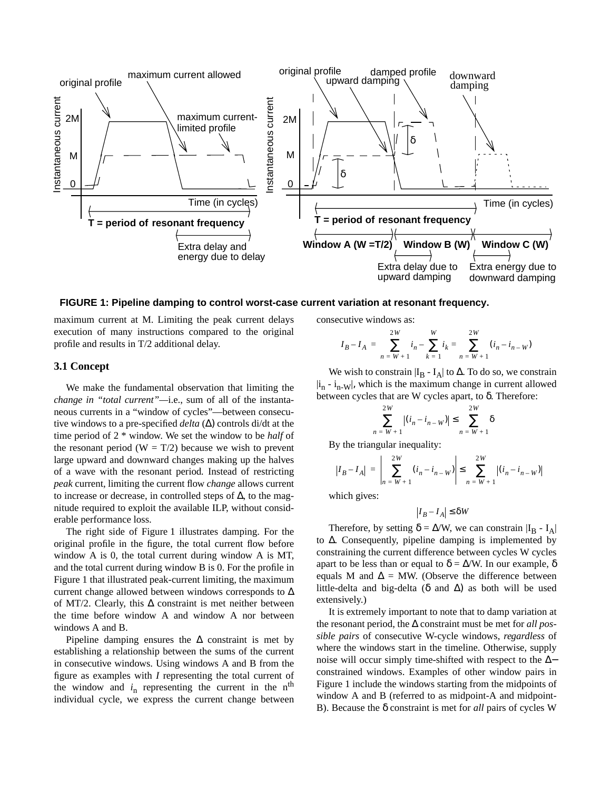

<span id="page-2-0"></span>maximum current at M. Limiting the peak current delays execution of many instructions compared to the original profile and results in T/2 additional delay.

#### <span id="page-2-1"></span>**3.1 Concept**

We make the fundamental observation that limiting the *change in "total current"—*i.e., sum of all of the instantaneous currents in a "window of cycles"—between consecutive windows to a pre-specified *delta* (∆) controls di/dt at the time period of 2 \* window. We set the window to be *half* of the resonant period ( $W = T/2$ ) because we wish to prevent large upward and downward changes making up the halves of a wave with the resonant period*.* Instead of restricting *peak* current, limiting the current flow *change* allows current to increase or decrease, in controlled steps of ∆, to the magnitude required to exploit the available ILP, without considerable performance loss.

The right side of [Figure 1](#page-2-0) illustrates damping. For the original profile in the figure, the total current flow before window A is 0, the total current during window A is MT, and the total current during window B is 0. For the profile in [Figure 1](#page-2-0) that illustrated peak-current limiting, the maximum current change allowed between windows corresponds to ∆ of MT/2. Clearly, this ∆ constraint is met neither between the time before window A and window A nor between windows A and B.

Pipeline damping ensures the  $\Delta$  constraint is met by establishing a relationship between the sums of the current in consecutive windows. Using windows A and B from the figure as examples with *I* representing the total current of the window and  $i_n$  representing the current in the n<sup>th</sup> individual cycle, we express the current change between

consecutive windows as:

$$
I_B - I_A = \sum_{n = W + 1}^{2W} i_n - \sum_{k = 1}^{W} i_k = \sum_{n = W + 1}^{2W} (i_n - i_{n - W})
$$

We wish to constrain  $|I_B - I_A|$  to  $\Delta$ . To do so, we constrain  $|i_n - i_{n-W}|$ , which is the maximum change in current allowed between cycles that are W cycles apart, to δ. Therefore:

$$
\sum_{n=W+1}^{2W} |(i_n - i_{n-W})| \le \sum_{n=W+1}^{2W} \delta
$$

By the triangular inequality:

$$
|I_B - I_A| = \left| \sum_{n = W + 1}^{2W} (i_n - i_{n - W}) \right| \le \sum_{n = W + 1}^{2W} |(i_n - i_{n - W})|
$$

which gives:

$$
|I_B - I_A| \le \delta W
$$

Therefore, by setting  $\delta = \Delta/W$ , we can constrain  $|I_B - I_A|$ to ∆. Consequently, pipeline damping is implemented by constraining the current difference between cycles W cycles apart to be less than or equal to  $\delta = \Delta/W$ . In our example,  $\delta$ equals M and  $\Delta$  = MW. (Observe the difference between little-delta and big-delta ( $\delta$  and  $\Delta$ ) as both will be used extensively.)

It is extremely important to note that to damp variation at the resonant period, the ∆ constraint must be met for *all possible pairs* of consecutive W-cycle windows, *regardless* of where the windows start in the timeline. Otherwise, supply noise will occur simply time-shifted with respect to the ∆− constrained windows. Examples of other window pairs in [Figure 1](#page-2-0) include the windows starting from the midpoints of window A and B (referred to as midpoint-A and midpoint-B). Because the δ constraint is met for *all* pairs of cycles W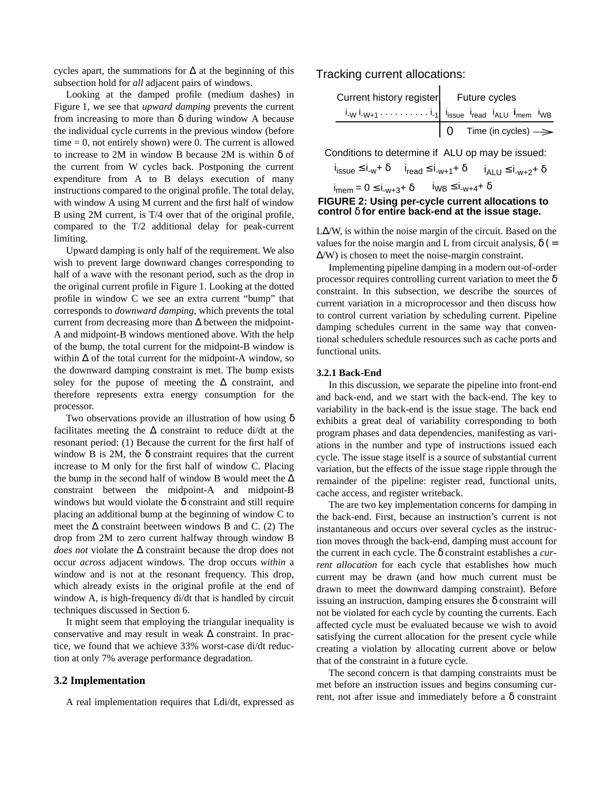cycles apart, the summations for  $\Delta$  at the beginning of this subsection hold for *all* adjacent pairs of windows.

Looking at the damped profile (medium dashes) in [Figure 1,](#page-2-0) we see that *upward damping* prevents the current from increasing to more than  $\delta$  during window A because the individual cycle currents in the previous window (before time  $= 0$ , not entirely shown) were 0. The current is allowed to increase to 2M in window B because 2M is within δ of the current from W cycles back. Postponing the current expenditure from A to B delays execution of many instructions compared to the original profile. The total delay, with window A using M current and the first half of window B using 2M current, is T/4 over that of the original profile, compared to the T/2 additional delay for peak-current limiting.

Upward damping is only half of the requirement. We also wish to prevent large downward changes corresponding to half of a wave with the resonant period, such as the drop in the original current profile in [Figure 1.](#page-2-0) Looking at the dotted profile in window C we see an extra current "bump" that corresponds to *downward damping*, which prevents the total current from decreasing more than ∆ between the midpoint-A and midpoint-B windows mentioned above. With the help of the bump, the total current for the midpoint-B window is within  $\Delta$  of the total current for the midpoint-A window, so the downward damping constraint is met. The bump exists soley for the pupose of meeting the  $\Delta$  constraint, and therefore represents extra energy consumption for the processor.

Two observations provide an illustration of how using  $\delta$ facilitates meeting the  $\Delta$  constraint to reduce di/dt at the resonant period: (1) Because the current for the first half of window B is 2M, the  $\delta$  constraint requires that the current increase to M only for the first half of window C. Placing the bump in the second half of window B would meet the ∆ constraint between the midpoint-A and midpoint-B windows but would violate the  $\delta$  constraint and still require placing an additional bump at the beginning of window C to meet the  $\Delta$  constraint beetween windows B and C. (2) The drop from 2M to zero current halfway through window B *does not* violate the ∆ constraint because the drop does not occur *across* adjacent windows. The drop occurs *within* a window and is not at the resonant frequency. This drop, which already exists in the original profile at the end of window A, is high-frequency di/dt that is handled by circuit techniques discussed in [Section 6.](#page-10-0)

It might seem that employing the triangular inequality is conservative and may result in weak  $\Delta$  constraint. In practice, we found that we achieve 33% worst-case di/dt reduction at only 7% average performance degradation.

#### <span id="page-3-1"></span>**3.2 Implementation**

A real implementation requires that Ldi/dt, expressed as

### Tracking current allocations:

| Current history register Future cycles                                                                                            |  |  |  |                                    |  |
|-----------------------------------------------------------------------------------------------------------------------------------|--|--|--|------------------------------------|--|
| $i_{\text{-W}}$ $i_{\text{-W+1}}$ $i_{-1}$ $i_{\text{issue}}$ $i_{\text{read}}$ $i_{\text{ALU}}$ $i_{\text{mem}}$ $i_{\text{WB}}$ |  |  |  |                                    |  |
|                                                                                                                                   |  |  |  | Time (in cycles) $\Longrightarrow$ |  |

Conditions to determine if ALU op may be issued:

# <span id="page-3-0"></span>**FIGURE 2: Using per-cycle current allocations to control** δ **for entire back-end at the issue stage.**  $i_{\text{mem}} = 0 \le i_{-w+3} + \delta$   $i_{\text{WB}} \le i_{-w+4} + \delta$  $i_{\text{issue}} \leq i_{\text{-w}} + \delta$   $i_{\text{read}} \leq i_{\text{-w+1}} + \delta$   $i_{\text{ALU}} \leq i_{\text{-w+2}} + \delta$

L∆/W, is within the noise margin of the circuit. Based on the values for the noise margin and L from circuit analysis,  $\delta$  (=  $\Delta$ /W) is chosen to meet the noise-margin constraint.

Implementing pipeline damping in a modern out-of-order processor requires controlling current variation to meet the  $\delta$ constraint. In this subsection, we describe the sources of current variation in a microprocessor and then discuss how to control current variation by scheduling current. Pipeline damping schedules current in the same way that conventional schedulers schedule resources such as cache ports and functional units.

#### <span id="page-3-2"></span>**3.2.1 Back-End**

In this discussion, we separate the pipeline into front-end and back-end, and we start with the back-end. The key to variability in the back-end is the issue stage. The back end exhibits a great deal of variability corresponding to both program phases and data dependencies, manifesting as variations in the number and type of instructions issued each cycle. The issue stage itself is a source of substantial current variation, but the effects of the issue stage ripple through the remainder of the pipeline: register read, functional units, cache access, and register writeback.

The are two key implementation concerns for damping in the back-end. First, because an instruction's current is not instantaneous and occurs over several cycles as the instruction moves through the back-end, damping must account for the current in each cycle. The δ constraint establishes a *current allocation* for each cycle that establishes how much current may be drawn (and how much current must be drawn to meet the downward damping constraint). Before issuing an instruction, damping ensures the  $\delta$  constraint will not be violated for each cycle by counting the currents. Each affected cycle must be evaluated because we wish to avoid satisfying the current allocation for the present cycle while creating a violation by allocating current above or below that of the constraint in a future cycle.

The second concern is that damping constraints must be met before an instruction issues and begins consuming current, not after issue and immediately before a δ constraint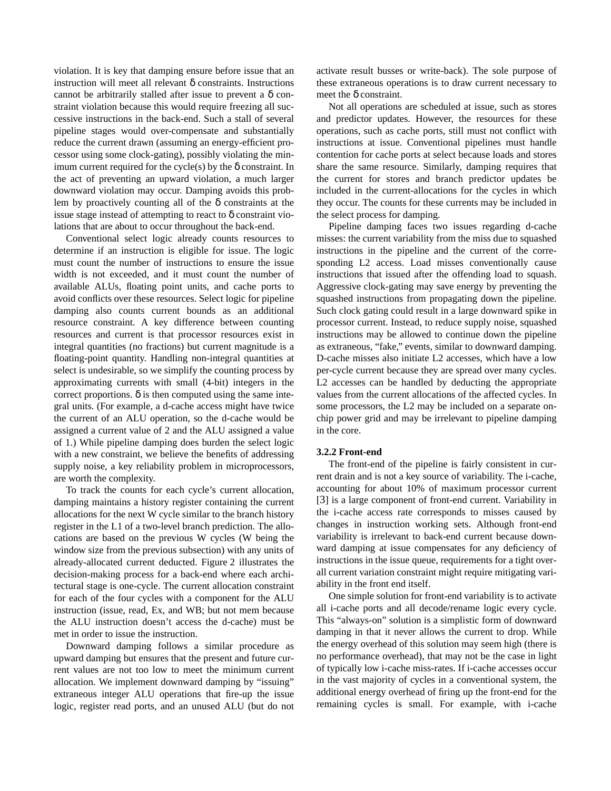violation. It is key that damping ensure before issue that an instruction will meet all relevant δ constraints. Instructions cannot be arbitrarily stalled after issue to prevent a  $\delta$  constraint violation because this would require freezing all successive instructions in the back-end. Such a stall of several pipeline stages would over-compensate and substantially reduce the current drawn (assuming an energy-efficient processor using some clock-gating), possibly violating the minimum current required for the cycle(s) by the  $\delta$  constraint. In the act of preventing an upward violation, a much larger downward violation may occur. Damping avoids this problem by proactively counting all of the  $\delta$  constraints at the issue stage instead of attempting to react to  $\delta$  constraint violations that are about to occur throughout the back-end.

Conventional select logic already counts resources to determine if an instruction is eligible for issue. The logic must count the number of instructions to ensure the issue width is not exceeded, and it must count the number of available ALUs, floating point units, and cache ports to avoid conflicts over these resources. Select logic for pipeline damping also counts current bounds as an additional resource constraint. A key difference between counting resources and current is that processor resources exist in integral quantities (no fractions) but current magnitude is a floating-point quantity. Handling non-integral quantities at select is undesirable, so we simplify the counting process by approximating currents with small (4-bit) integers in the correct proportions.  $\delta$  is then computed using the same integral units. (For example, a d-cache access might have twice the current of an ALU operation, so the d-cache would be assigned a current value of 2 and the ALU assigned a value of 1.) While pipeline damping does burden the select logic with a new constraint, we believe the benefits of addressing supply noise, a key reliability problem in microprocessors, are worth the complexity.

To track the counts for each cycle's current allocation, damping maintains a history register containing the current allocations for the next W cycle similar to the branch history register in the L1 of a two-level branch prediction. The allocations are based on the previous W cycles (W being the window size from the previous subsection) with any units of already-allocated current deducted. [Figure 2](#page-3-0) illustrates the decision-making process for a back-end where each architectural stage is one-cycle. The current allocation constraint for each of the four cycles with a component for the ALU instruction (issue, read, Ex, and WB; but not mem because the ALU instruction doesn't access the d-cache) must be met in order to issue the instruction.

Downward damping follows a similar procedure as upward damping but ensures that the present and future current values are not too low to meet the minimum current allocation. We implement downward damping by "issuing" extraneous integer ALU operations that fire-up the issue logic, register read ports, and an unused ALU (but do not activate result busses or write-back). The sole purpose of these extraneous operations is to draw current necessary to meet the δ constraint.

Not all operations are scheduled at issue, such as stores and predictor updates. However, the resources for these operations, such as cache ports, still must not conflict with instructions at issue. Conventional pipelines must handle contention for cache ports at select because loads and stores share the same resource. Similarly, damping requires that the current for stores and branch predictor updates be included in the current-allocations for the cycles in which they occur. The counts for these currents may be included in the select process for damping.

Pipeline damping faces two issues regarding d-cache misses: the current variability from the miss due to squashed instructions in the pipeline and the current of the corresponding L2 access. Load misses conventionally cause instructions that issued after the offending load to squash. Aggressive clock-gating may save energy by preventing the squashed instructions from propagating down the pipeline. Such clock gating could result in a large downward spike in processor current. Instead, to reduce supply noise, squashed instructions may be allowed to continue down the pipeline as extraneous, "fake," events, similar to downward damping. D-cache misses also initiate L2 accesses, which have a low per-cycle current because they are spread over many cycles. L2 accesses can be handled by deducting the appropriate values from the current allocations of the affected cycles. In some processors, the L2 may be included on a separate onchip power grid and may be irrelevant to pipeline damping in the core.

#### <span id="page-4-0"></span>**3.2.2 Front-end**

The front-end of the pipeline is fairly consistent in current drain and is not a key source of variability. The i-cache, accounting for about 10% of maximum processor current [3] is a large component of front-end current. Variability in the i-cache access rate corresponds to misses caused by changes in instruction working sets. Although front-end variability is irrelevant to back-end current because downward damping at issue compensates for any deficiency of instructions in the issue queue, requirements for a tight overall current variation constraint might require mitigating variability in the front end itself.

One simple solution for front-end variability is to activate all i-cache ports and all decode/rename logic every cycle. This "always-on" solution is a simplistic form of downward damping in that it never allows the current to drop. While the energy overhead of this solution may seem high (there is no performance overhead), that may not be the case in light of typically low i-cache miss-rates. If i-cache accesses occur in the vast majority of cycles in a conventional system, the additional energy overhead of firing up the front-end for the remaining cycles is small. For example, with i-cache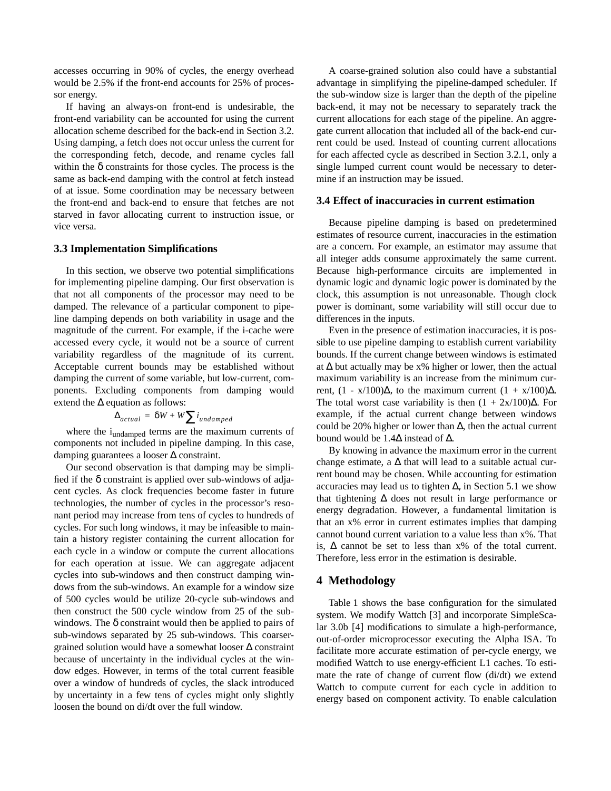accesses occurring in 90% of cycles, the energy overhead would be 2.5% if the front-end accounts for 25% of processor energy.

If having an always-on front-end is undesirable, the front-end variability can be accounted for using the current allocation scheme described for the back-end in [Section 3.2](#page-3-1). Using damping, a fetch does not occur unless the current for the corresponding fetch, decode, and rename cycles fall within the  $\delta$  constraints for those cycles. The process is the same as back-end damping with the control at fetch instead of at issue. Some coordination may be necessary between the front-end and back-end to ensure that fetches are not starved in favor allocating current to instruction issue, or vice versa.

#### <span id="page-5-2"></span>**3.3 Implementation Simplifications**

In this section, we observe two potential simplifications for implementing pipeline damping. Our first observation is that not all components of the processor may need to be damped. The relevance of a particular component to pipeline damping depends on both variability in usage and the magnitude of the current. For example, if the i-cache were accessed every cycle, it would not be a source of current variability regardless of the magnitude of its current. Acceptable current bounds may be established without damping the current of some variable, but low-current, components. Excluding components from damping would extend the  $\Delta$  equation as follows:

$$
\Delta_{actual} = \delta W + W \sum i_{undamped}
$$

where the i<sub>undamped</sub> terms are the maximum currents of components not included in pipeline damping. In this case, damping guarantees a looser ∆ constraint.

Our second observation is that damping may be simplified if the  $\delta$  constraint is applied over sub-windows of adjacent cycles. As clock frequencies become faster in future technologies, the number of cycles in the processor's resonant period may increase from tens of cycles to hundreds of cycles. For such long windows, it may be infeasible to maintain a history register containing the current allocation for each cycle in a window or compute the current allocations for each operation at issue. We can aggregate adjacent cycles into sub-windows and then construct damping windows from the sub-windows. An example for a window size of 500 cycles would be utilize 20-cycle sub-windows and then construct the 500 cycle window from 25 of the subwindows. The  $\delta$  constraint would then be applied to pairs of sub-windows separated by 25 sub-windows. This coarsergrained solution would have a somewhat looser ∆ constraint because of uncertainty in the individual cycles at the window edges. However, in terms of the total current feasible over a window of hundreds of cycles, the slack introduced by uncertainty in a few tens of cycles might only slightly loosen the bound on di/dt over the full window.

A coarse-grained solution also could have a substantial advantage in simplifying the pipeline-damped scheduler. If the sub-window size is larger than the depth of the pipeline back-end, it may not be necessary to separately track the current allocations for each stage of the pipeline. An aggregate current allocation that included all of the back-end current could be used. Instead of counting current allocations for each affected cycle as described in [Section 3.2.1](#page-3-2), only a single lumped current count would be necessary to determine if an instruction may be issued.

#### <span id="page-5-1"></span>**3.4 Effect of inaccuracies in current estimation**

Because pipeline damping is based on predetermined estimates of resource current, inaccuracies in the estimation are a concern. For example, an estimator may assume that all integer adds consume approximately the same current. Because high-performance circuits are implemented in dynamic logic and dynamic logic power is dominated by the clock, this assumption is not unreasonable. Though clock power is dominant, some variability will still occur due to differences in the inputs.

Even in the presence of estimation inaccuracies, it is possible to use pipeline damping to establish current variability bounds. If the current change between windows is estimated at ∆ but actually may be x% higher or lower, then the actual maximum variability is an increase from the minimum current,  $(1 - x/100)\Delta$ , to the maximum current  $(1 + x/100)\Delta$ . The total worst case variability is then  $(1 + 2x/100)\Delta$ . For example, if the actual current change between windows could be 20% higher or lower than ∆, then the actual current bound would be 1.4 $\Delta$  instead of  $\Delta$ .

By knowing in advance the maximum error in the current change estimate, a  $\Delta$  that will lead to a suitable actual current bound may be chosen. While accounting for estimation accuracies may lead us to tighten  $\Delta$ , in [Section 5.1](#page-7-0) we show that tightening ∆ does not result in large performance or energy degradation. However, a fundamental limitation is that an x% error in current estimates implies that damping cannot bound current variation to a value less than x%. That is, ∆ cannot be set to less than x% of the total current. Therefore, less error in the estimation is desirable.

#### <span id="page-5-0"></span>**4 Methodology**

[Table 1](#page-6-1) shows the base configuration for the simulated system. We modify Wattch [3] and incorporate SimpleScalar 3.0b [4] modifications to simulate a high-performance, out-of-order microprocessor executing the Alpha ISA. To facilitate more accurate estimation of per-cycle energy, we modified Wattch to use energy-efficient L1 caches. To estimate the rate of change of current flow (di/dt) we extend Wattch to compute current for each cycle in addition to energy based on component activity. To enable calculation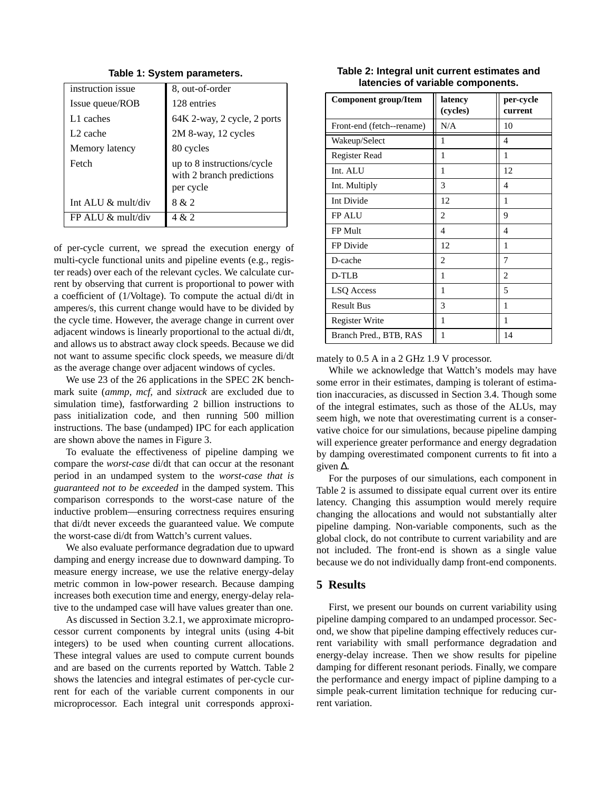<span id="page-6-1"></span>

| instruction issue      | 8, out-of-order                                                      |
|------------------------|----------------------------------------------------------------------|
| Issue queue/ROB        | 128 entries                                                          |
| L1 caches              | 64K 2-way, 2 cycle, 2 ports                                          |
| L <sub>2</sub> cache   | 2M 8-way, 12 cycles                                                  |
| Memory latency         | 80 cycles                                                            |
| Fetch                  | up to 8 instructions/cycle<br>with 2 branch predictions<br>per cycle |
| Int ALU & mult/div     | 8 & 2                                                                |
| $FP$ ALU $\&$ mult/div | 4 & 2                                                                |

#### **Table 1: System parameters.**

of per-cycle current, we spread the execution energy of multi-cycle functional units and pipeline events (e.g., register reads) over each of the relevant cycles. We calculate current by observing that current is proportional to power with a coefficient of (1/Voltage). To compute the actual di/dt in amperes/s, this current change would have to be divided by the cycle time. However, the average change in current over adjacent windows is linearly proportional to the actual di/dt, and allows us to abstract away clock speeds. Because we did not want to assume specific clock speeds, we measure di/dt as the average change over adjacent windows of cycles.

We use 23 of the 26 applications in the SPEC 2K benchmark suite (*ammp, mcf,* and *sixtrack* are excluded due to simulation time), fastforwarding 2 billion instructions to pass initialization code, and then running 500 million instructions. The base (undamped) IPC for each application are shown above the names in [Figure 3.](#page-9-0)

To evaluate the effectiveness of pipeline damping we compare the *worst-case* di/dt that can occur at the resonant period in an undamped system to the *worst-case that is guaranteed not to be exceeded* in the damped system. This comparison corresponds to the worst-case nature of the inductive problem—ensuring correctness requires ensuring that di/dt never exceeds the guaranteed value. We compute the worst-case di/dt from Wattch's current values.

We also evaluate performance degradation due to upward damping and energy increase due to downward damping. To measure energy increase, we use the relative energy-delay metric common in low-power research. Because damping increases both execution time and energy, energy-delay relative to the undamped case will have values greater than one.

As discussed in [Section 3.2.1](#page-3-2), we approximate microprocessor current components by integral units (using 4-bit integers) to be used when counting current allocations. These integral values are used to compute current bounds and are based on the currents reported by Wattch. [Table 2](#page-6-2) shows the latencies and integral estimates of per-cycle current for each of the variable current components in our microprocessor. Each integral unit corresponds approxi-

| <b>Component group/Item</b> | latency<br>(cycles) | per-cycle<br>current |
|-----------------------------|---------------------|----------------------|
| Front-end (fetch--rename)   | N/A                 | 10                   |
| Wakeup/Select               | 1                   | $\overline{4}$       |
| <b>Register Read</b>        | 1                   | 1                    |
| Int. ALU                    | 1                   | 12                   |
| Int. Multiply               | 3                   | 4                    |
| Int Divide                  | 12                  | 1                    |
| <b>FP ALU</b>               | 2                   | 9                    |
| FP Mult                     | 4                   | 4                    |
| FP Divide                   | 12                  | 1                    |
| D-cache                     | 2                   | 7                    |
| D-TLB                       | 1                   | $\overline{c}$       |
| <b>LSQ</b> Access           | 1                   | 5                    |
| <b>Result Bus</b>           | 3                   | 1                    |
| <b>Register Write</b>       | 1                   | 1                    |
| Branch Pred., BTB, RAS      | 1                   | 14                   |

#### <span id="page-6-2"></span>**Table 2: Integral unit current estimates and latencies of variable components.**

mately to 0.5 A in a 2 GHz 1.9 V processor.

While we acknowledge that Wattch's models may have some error in their estimates, damping is tolerant of estimation inaccuracies, as discussed in [Section 3.4.](#page-5-1) Though some of the integral estimates, such as those of the ALUs, may seem high, we note that overestimating current is a conservative choice for our simulations, because pipeline damping will experience greater performance and energy degradation by damping overestimated component currents to fit into a given ∆.

For the purposes of our simulations, each component in [Table 2](#page-6-2) is assumed to dissipate equal current over its entire latency. Changing this assumption would merely require changing the allocations and would not substantially alter pipeline damping. Non-variable components, such as the global clock, do not contribute to current variability and are not included. The front-end is shown as a single value because we do not individually damp front-end components.

## <span id="page-6-0"></span>**5 Results**

First, we present our bounds on current variability using pipeline damping compared to an undamped processor. Second, we show that pipeline damping effectively reduces current variability with small performance degradation and energy-delay increase. Then we show results for pipeline damping for different resonant periods. Finally, we compare the performance and energy impact of pipline damping to a simple peak-current limitation technique for reducing current variation.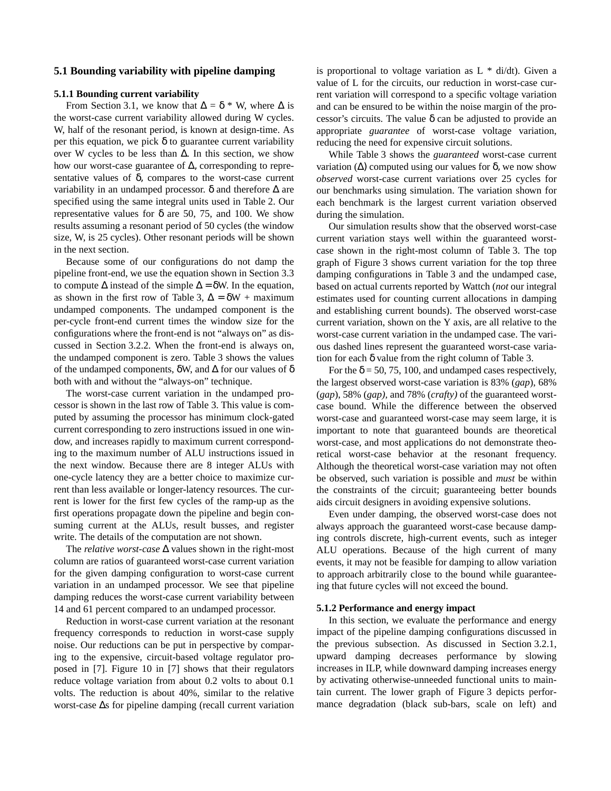#### <span id="page-7-0"></span>**5.1 Bounding variability with pipeline damping**

#### <span id="page-7-1"></span>**5.1.1 Bounding current variability**

From [Section 3.1](#page-2-1), we know that  $\Delta = \delta^*$  W, where  $\Delta$  is the worst-case current variability allowed during W cycles. W, half of the resonant period, is known at design-time. As per this equation, we pick  $\delta$  to guarantee current variability over W cycles to be less than ∆. In this section, we show how our worst-case guarantee of ∆, corresponding to representative values of δ, compares to the worst-case current variability in an undamped processor.  $\delta$  and therefore  $\Delta$  are specified using the same integral units used in [Table 2.](#page-6-2) Our representative values for δ are 50, 75, and 100. We show results assuming a resonant period of 50 cycles (the window size, W, is 25 cycles). Other resonant periods will be shown in the next section.

Because some of our configurations do not damp the pipeline front-end, we use the equation shown in [Section 3.3](#page-5-2) to compute  $\Delta$  instead of the simple  $\Delta = \delta W$ . In the equation, as shown in the first row of [Table 3](#page-8-0),  $\Delta = \delta W +$  maximum undamped components. The undamped component is the per-cycle front-end current times the window size for the configurations where the front-end is not "always on" as discussed in [Section 3.2.2.](#page-4-0) When the front-end is always on, the undamped component is zero. [Table 3](#page-8-0) shows the values of the undamped components, δW, and ∆ for our values of δ both with and without the "always-on" technique.

The worst-case current variation in the undamped processor is shown in the last row of [Table 3.](#page-8-0) This value is computed by assuming the processor has minimum clock-gated current corresponding to zero instructions issued in one window, and increases rapidly to maximum current corresponding to the maximum number of ALU instructions issued in the next window. Because there are 8 integer ALUs with one-cycle latency they are a better choice to maximize current than less available or longer-latency resources. The current is lower for the first few cycles of the ramp-up as the first operations propagate down the pipeline and begin consuming current at the ALUs, result busses, and register write. The details of the computation are not shown.

The *relative worst-case* ∆ values shown in the right-most column are ratios of guaranteed worst-case current variation for the given damping configuration to worst-case current variation in an undamped processor. We see that pipeline damping reduces the worst-case current variability between 14 and 61 percent compared to an undamped processor.

Reduction in worst-case current variation at the resonant frequency corresponds to reduction in worst-case supply noise. Our reductions can be put in perspective by comparing to the expensive, circuit-based voltage regulator proposed in [7]. Figure 10 in [7] shows that their regulators reduce voltage variation from about 0.2 volts to about 0.1 volts. The reduction is about 40%, similar to the relative worst-case ∆s for pipeline damping (recall current variation is proportional to voltage variation as  $L * di/dt$ . Given a value of L for the circuits, our reduction in worst-case current variation will correspond to a specific voltage variation and can be ensured to be within the noise margin of the processor's circuits. The value  $\delta$  can be adjusted to provide an appropriate *guarantee* of worst-case voltage variation, reducing the need for expensive circuit solutions.

While [Table 3](#page-8-0) shows the *guaranteed* worst-case current variation (∆) computed using our values for δ, we now show *observed* worst-case current variations over 25 cycles for our benchmarks using simulation. The variation shown for each benchmark is the largest current variation observed during the simulation.

Our simulation results show that the observed worst-case current variation stays well within the guaranteed worstcase shown in the right-most column of [Table 3.](#page-8-0) The top graph of [Figure 3](#page-9-0) shows current variation for the top three damping configurations in [Table 3](#page-8-0) and the undamped case, based on actual currents reported by Wattch (*not* our integral estimates used for counting current allocations in damping and establishing current bounds). The observed worst-case current variation, shown on the Y axis, are all relative to the worst-case current variation in the undamped case. The various dashed lines represent the guaranteed worst-case variation for each  $\delta$  value from the right column of [Table 3](#page-8-0).

For the  $\delta$  = 50, 75, 100, and undamped cases respectively, the largest observed worst-case variation is 83% (*gap*), 68% (*gap*), 58% (*gap),* and 78% (*crafty)* of the guaranteed worstcase bound. While the difference between the observed worst-case and guaranteed worst-case may seem large, it is important to note that guaranteed bounds are theoretical worst-case, and most applications do not demonstrate theoretical worst-case behavior at the resonant frequency. Although the theoretical worst-case variation may not often be observed, such variation is possible and *must* be within the constraints of the circuit; guaranteeing better bounds aids circuit designers in avoiding expensive solutions.

Even under damping, the observed worst-case does not always approach the guaranteed worst-case because damping controls discrete, high-current events, such as integer ALU operations. Because of the high current of many events, it may not be feasible for damping to allow variation to approach arbitrarily close to the bound while guaranteeing that future cycles will not exceed the bound.

#### **5.1.2 Performance and energy impact**

In this section, we evaluate the performance and energy impact of the pipeline damping configurations discussed in the previous subsection. As discussed in [Section 3.2.1](#page-3-2), upward damping decreases performance by slowing increases in ILP, while downward damping increases energy by activating otherwise-unneeded functional units to maintain current. The lower graph of [Figure 3](#page-9-0) depicts performance degradation (black sub-bars, scale on left) and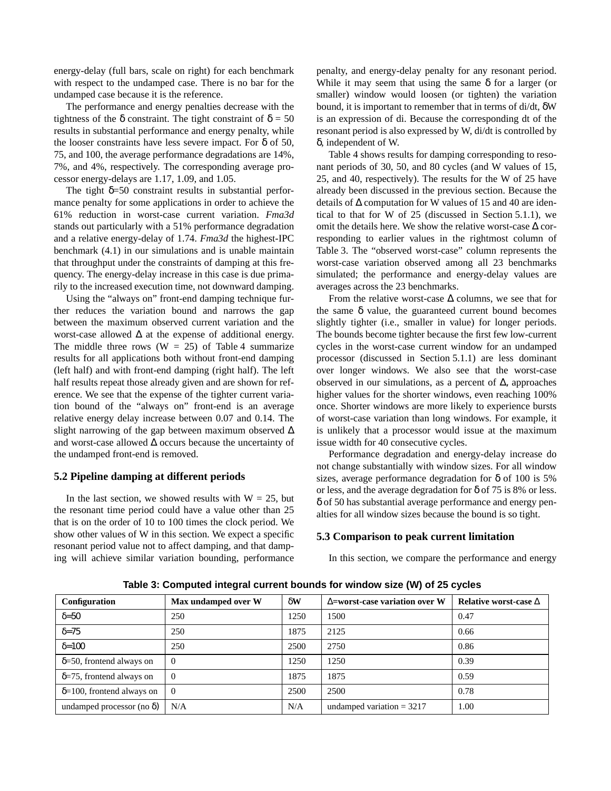energy-delay (full bars, scale on right) for each benchmark with respect to the undamped case. There is no bar for the undamped case because it is the reference.

The performance and energy penalties decrease with the tightness of the  $\delta$  constraint. The tight constraint of  $\delta = 50$ results in substantial performance and energy penalty, while the looser constraints have less severe impact. For  $\delta$  of 50, 75, and 100, the average performance degradations are 14%, 7%, and 4%, respectively. The corresponding average processor energy-delays are 1.17, 1.09, and 1.05.

The tight  $\delta = 50$  constraint results in substantial performance penalty for some applications in order to achieve the 61% reduction in worst-case current variation. *Fma3d* stands out particularly with a 51% performance degradation and a relative energy-delay of 1.74. *Fma3d* the highest-IPC benchmark (4.1) in our simulations and is unable maintain that throughput under the constraints of damping at this frequency. The energy-delay increase in this case is due primarily to the increased execution time, not downward damping.

Using the "always on" front-end damping technique further reduces the variation bound and narrows the gap between the maximum observed current variation and the worst-case allowed  $\Delta$  at the expense of additional energy. The middle three rows ( $W = 25$ ) of [Table 4](#page-9-1) summarize results for all applications both without front-end damping (left half) and with front-end damping (right half). The left half results repeat those already given and are shown for reference. We see that the expense of the tighter current variation bound of the "always on" front-end is an average relative energy delay increase between 0.07 and 0.14. The slight narrowing of the gap between maximum observed ∆ and worst-case allowed ∆ occurs because the uncertainty of the undamped front-end is removed.

### **5.2 Pipeline damping at different periods**

In the last section, we showed results with  $W = 25$ , but the resonant time period could have a value other than 25 that is on the order of 10 to 100 times the clock period. We show other values of W in this section. We expect a specific resonant period value not to affect damping, and that damping will achieve similar variation bounding, performance penalty, and energy-delay penalty for any resonant period. While it may seem that using the same  $\delta$  for a larger (or smaller) window would loosen (or tighten) the variation bound, it is important to remember that in terms of di/dt, δW is an expression of di. Because the corresponding dt of the resonant period is also expressed by W, di/dt is controlled by δ, independent of W.

[Table 4](#page-9-1) shows results for damping corresponding to resonant periods of 30, 50, and 80 cycles (and W values of 15, 25, and 40, respectively). The results for the W of 25 have already been discussed in the previous section. Because the details of ∆ computation for W values of 15 and 40 are identical to that for W of 25 (discussed in [Section 5.1.1](#page-7-1)), we omit the details here. We show the relative worst-case  $\Delta$  corresponding to earlier values in the rightmost column of [Table 3.](#page-8-0) The "observed worst-case" column represents the worst-case variation observed among all 23 benchmarks simulated; the performance and energy-delay values are averages across the 23 benchmarks.

From the relative worst-case  $\Delta$  columns, we see that for the same  $\delta$  value, the guaranteed current bound becomes slightly tighter (i.e., smaller in value) for longer periods. The bounds become tighter because the first few low-current cycles in the worst-case current window for an undamped processor (discussed in [Section 5.1.1\)](#page-7-1) are less dominant over longer windows. We also see that the worst-case observed in our simulations, as a percent of ∆, approaches higher values for the shorter windows, even reaching 100% once. Shorter windows are more likely to experience bursts of worst-case variation than long windows. For example, it is unlikely that a processor would issue at the maximum issue width for 40 consecutive cycles.

Performance degradation and energy-delay increase do not change substantially with window sizes. For all window sizes, average performance degradation for  $\delta$  of 100 is 5% or less, and the average degradation for  $\delta$  of 75 is 8% or less. δ of 50 has substantial average performance and energy penalties for all window sizes because the bound is so tight.

#### **5.3 Comparison to peak current limitation**

In this section, we compare the performance and energy

<span id="page-8-0"></span>

| Configuration                       | Max undamped over W | $\delta W$ | $\Delta$ =worst-case variation over W | Relative worst-case $\Delta$ |  |  |
|-------------------------------------|---------------------|------------|---------------------------------------|------------------------------|--|--|
| $\delta = 50$                       | 250                 | 1250       | 1500                                  | 0.47                         |  |  |
| $\delta = 75$                       | 250                 | 1875       | 2125                                  | 0.66                         |  |  |
| $\delta = 100$                      | 250                 | 2500       | 2750                                  | 0.86                         |  |  |
| $\delta = 50$ , frontend always on  | $\Omega$            | 1250       | 1250                                  | 0.39                         |  |  |
| $\delta = 75$ , frontend always on  | $\Omega$            | 1875       | 1875                                  | 0.59                         |  |  |
| $\delta = 100$ , frontend always on | $\Omega$            | 2500       | 2500                                  | 0.78                         |  |  |
| undamped processor (no $\delta$ )   | N/A                 | N/A        | undamped variation $= 3217$           | 1.00                         |  |  |

**Table 3: Computed integral current bounds for window size (W) of 25 cycles**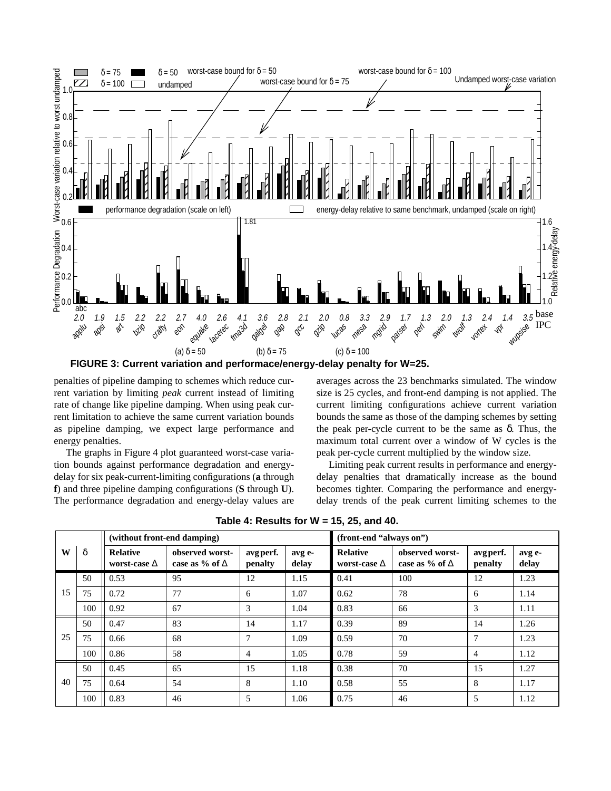

**FIGURE 3: Current variation and performace/energy-delay penalty for W=25.**

<span id="page-9-0"></span>penalties of pipeline damping to schemes which reduce current variation by limiting *peak* current instead of limiting rate of change like pipeline damping. When using peak current limitation to achieve the same current variation bounds as pipeline damping, we expect large performance and energy penalties.

The graphs in [Figure 4](#page-10-2) plot guaranteed worst-case variation bounds against performance degradation and energydelay for six peak-current-limiting configurations (**a** through **f**) and three pipeline damping configurations (**S** through **U**). The performance degradation and energy-delay values are averages across the 23 benchmarks simulated. The window size is 25 cycles, and front-end damping is not applied. The current limiting configurations achieve current variation bounds the same as those of the damping schemes by setting the peak per-cycle current to be the same as  $δ$ . Thus, the maximum total current over a window of W cycles is the peak per-cycle current multiplied by the window size.

Limiting peak current results in performance and energydelay penalties that dramatically increase as the bound becomes tighter. Comparing the performance and energydelay trends of the peak current limiting schemes to the

<span id="page-9-1"></span>

|    |     | (without front-end damping)            |                                          |                      | (front-end "always on") |                                        |                                          |                      |                 |
|----|-----|----------------------------------------|------------------------------------------|----------------------|-------------------------|----------------------------------------|------------------------------------------|----------------------|-----------------|
| W  | δ   | <b>Relative</b><br>worst-case $\Delta$ | observed worst-<br>case as % of $\Delta$ | avg perf.<br>penalty | avg e-<br>delay         | <b>Relative</b><br>worst-case $\Delta$ | observed worst-<br>case as % of $\Delta$ | avg perf.<br>penalty | avg e-<br>delay |
|    | 50  | 0.53                                   | 95                                       | 12                   | 1.15                    | 0.41                                   | 100                                      | 12                   | 1.23            |
| 15 | 75  | 0.72                                   | 77                                       | 6                    | 1.07                    | 0.62                                   | 78                                       | 6                    | 1.14            |
|    | 100 | 0.92                                   | 67                                       | 3                    | 1.04                    | 0.83                                   | 66                                       | 3                    | 1.11            |
| 25 | 50  | 0.47                                   | 83                                       | 14                   | 1.17                    | 0.39                                   | 89                                       | 14                   | 1.26            |
|    | 75  | 0.66                                   | 68                                       | $\overline{7}$       | 1.09                    | 0.59                                   | 70                                       | $\overline{7}$       | 1.23            |
|    | 100 | 0.86                                   | 58                                       | 4                    | 1.05                    | 0.78                                   | 59                                       | $\overline{4}$       | 1.12            |
| 40 | 50  | 0.45                                   | 65                                       | 15                   | 1.18                    | 0.38                                   | 70                                       | 15                   | 1.27            |
|    | 75  | 0.64                                   | 54                                       | 8                    | 1.10                    | 0.58                                   | 55                                       | 8                    | 1.17            |
|    | 100 | 0.83                                   | 46                                       | 5                    | 1.06                    | 0.75                                   | 46                                       | 5                    | 1.12            |

**Table 4: Results for W = 15, 25, and 40.**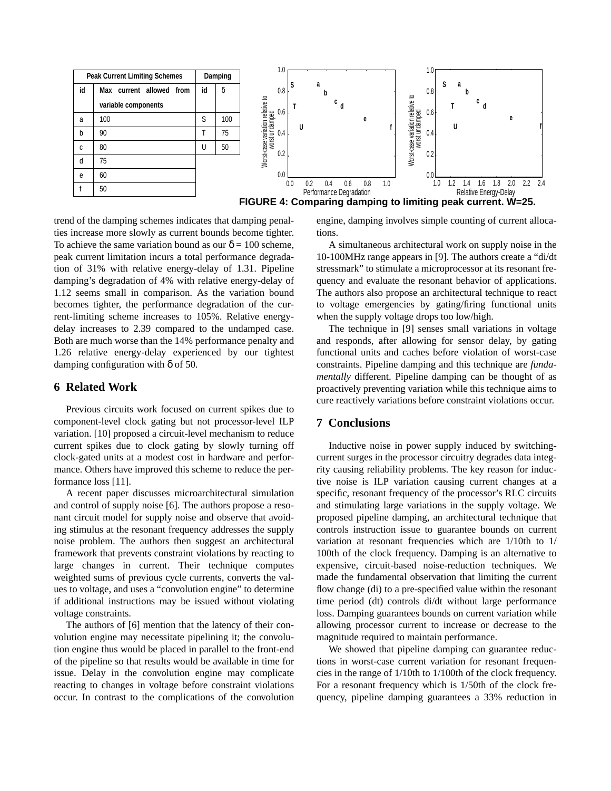

<span id="page-10-2"></span>**FIGURE 4: Comparing damping to limiting peak current. W=25.**

trend of the damping schemes indicates that damping penalties increase more slowly as current bounds become tighter. To achieve the same variation bound as our  $\delta = 100$  scheme, peak current limitation incurs a total performance degradation of 31% with relative energy-delay of 1.31. Pipeline damping's degradation of 4% with relative energy-delay of 1.12 seems small in comparison. As the variation bound becomes tighter, the performance degradation of the current-limiting scheme increases to 105%. Relative energydelay increases to 2.39 compared to the undamped case. Both are much worse than the 14% performance penalty and 1.26 relative energy-delay experienced by our tightest damping configuration with  $\delta$  of 50.

### <span id="page-10-0"></span>**6 Related Work**

Previous circuits work focused on current spikes due to component-level clock gating but not processor-level ILP variation. [10] proposed a circuit-level mechanism to reduce current spikes due to clock gating by slowly turning off clock-gated units at a modest cost in hardware and performance. Others have improved this scheme to reduce the performance loss [11].

A recent paper discusses microarchitectural simulation and control of supply noise [6]. The authors propose a resonant circuit model for supply noise and observe that avoiding stimulus at the resonant frequency addresses the supply noise problem. The authors then suggest an architectural framework that prevents constraint violations by reacting to large changes in current. Their technique computes weighted sums of previous cycle currents, converts the values to voltage, and uses a "convolution engine" to determine if additional instructions may be issued without violating voltage constraints.

The authors of [6] mention that the latency of their convolution engine may necessitate pipelining it; the convolution engine thus would be placed in parallel to the front-end of the pipeline so that results would be available in time for issue. Delay in the convolution engine may complicate reacting to changes in voltage before constraint violations occur. In contrast to the complications of the convolution

engine, damping involves simple counting of current allocations.

A simultaneous architectural work on supply noise in the 10-100MHz range appears in [9]. The authors create a "di/dt stressmark" to stimulate a microprocessor at its resonant frequency and evaluate the resonant behavior of applications. The authors also propose an architectural technique to react to voltage emergencies by gating/firing functional units when the supply voltage drops too low/high.

The technique in [9] senses small variations in voltage and responds, after allowing for sensor delay, by gating functional units and caches before violation of worst-case constraints. Pipeline damping and this technique are *fundamentally* different. Pipeline damping can be thought of as proactively preventing variation while this technique aims to cure reactively variations before constraint violations occur.

## <span id="page-10-1"></span>**7 Conclusions**

Inductive noise in power supply induced by switchingcurrent surges in the processor circuitry degrades data integrity causing reliability problems. The key reason for inductive noise is ILP variation causing current changes at a specific, resonant frequency of the processor's RLC circuits and stimulating large variations in the supply voltage. We proposed pipeline damping, an architectural technique that controls instruction issue to guarantee bounds on current variation at resonant frequencies which are 1/10th to 1/ 100th of the clock frequency. Damping is an alternative to expensive, circuit-based noise-reduction techniques. We made the fundamental observation that limiting the current flow change (di) to a pre-specified value within the resonant time period (dt) controls di/dt without large performance loss. Damping guarantees bounds on current variation while allowing processor current to increase or decrease to the magnitude required to maintain performance.

We showed that pipeline damping can guarantee reductions in worst-case current variation for resonant frequencies in the range of 1/10th to 1/100th of the clock frequency. For a resonant frequency which is 1/50th of the clock frequency, pipeline damping guarantees a 33% reduction in